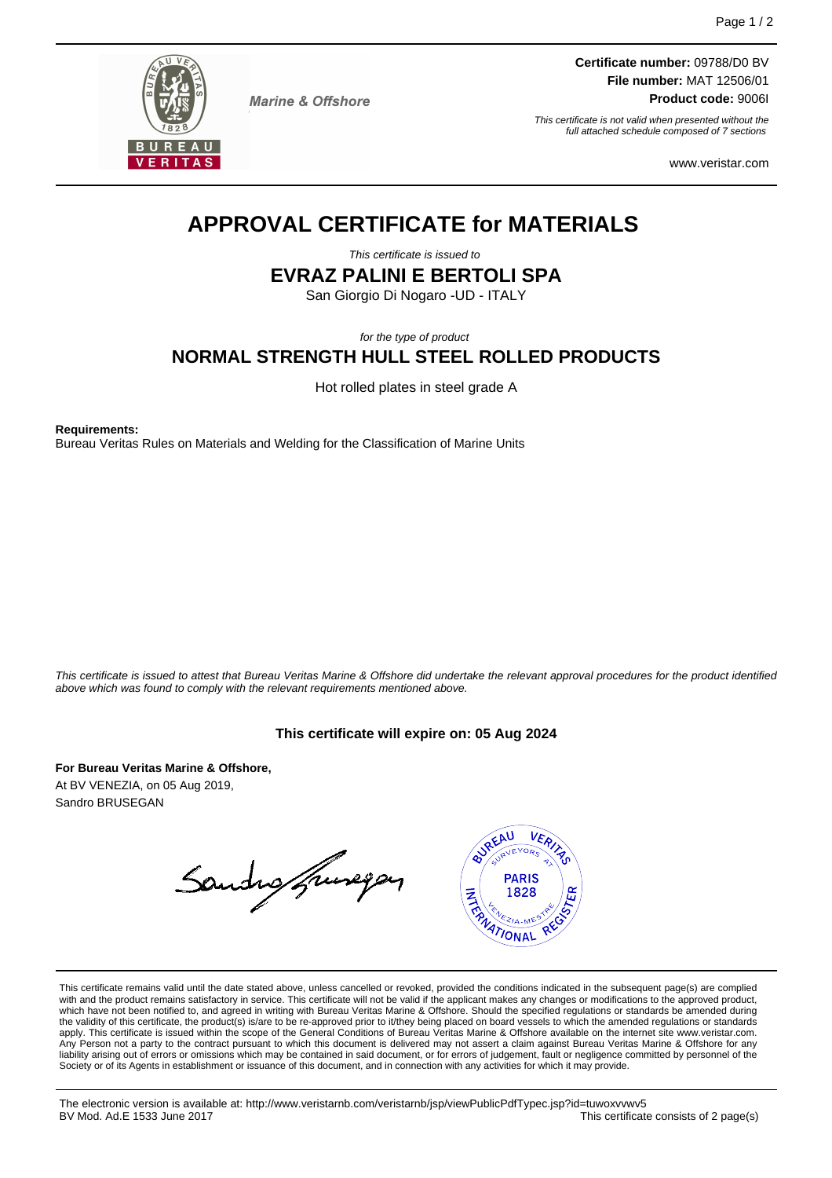

**Marine & Offshore** 

**Certificate number:** 09788/D0 BV **File number:** MAT 12506/01 **Product code:** 9006I

This certificate is not valid when presented without the full attached schedule composed of 7 sections

www.veristar.com

# **APPROVAL CERTIFICATE for MATERIALS**

This certificate is issued to

**EVRAZ PALINI E BERTOLI SPA**

San Giorgio Di Nogaro -UD - ITALY

for the type of product

# **NORMAL STRENGTH HULL STEEL ROLLED PRODUCTS**

Hot rolled plates in steel grade A

**Requirements:**

Bureau Veritas Rules on Materials and Welding for the Classification of Marine Units

This certificate is issued to attest that Bureau Veritas Marine & Offshore did undertake the relevant approval procedures for the product identified above which was found to comply with the relevant requirements mentioned above.

#### **This certificate will expire on: 05 Aug 2024**

**For Bureau Veritas Marine & Offshore,** At BV VENEZIA, on 05 Aug 2019, Sandro BRUSEGAN

Sandro francopas



This certificate remains valid until the date stated above, unless cancelled or revoked, provided the conditions indicated in the subsequent page(s) are complied with and the product remains satisfactory in service. This certificate will not be valid if the applicant makes any changes or modifications to the approved product,<br>which have not been notified to, and agreed in writing w apply. This certificate is issued within the scope of the General Conditions of Bureau Veritas Marine & Offshore available on the internet site www.veristar.com. .<br>Person not a party to the contract pursuant to which this document is delivered may not assert a claim against Bureau Veritas Marine & Offshore for any liability arising out of errors or omissions which may be contained in said document, or for errors of judgement, fault or negligence committed by personnel of the Society or of its Agents in establishment or issuance of this document, and in connection with any activities for which it may provide.